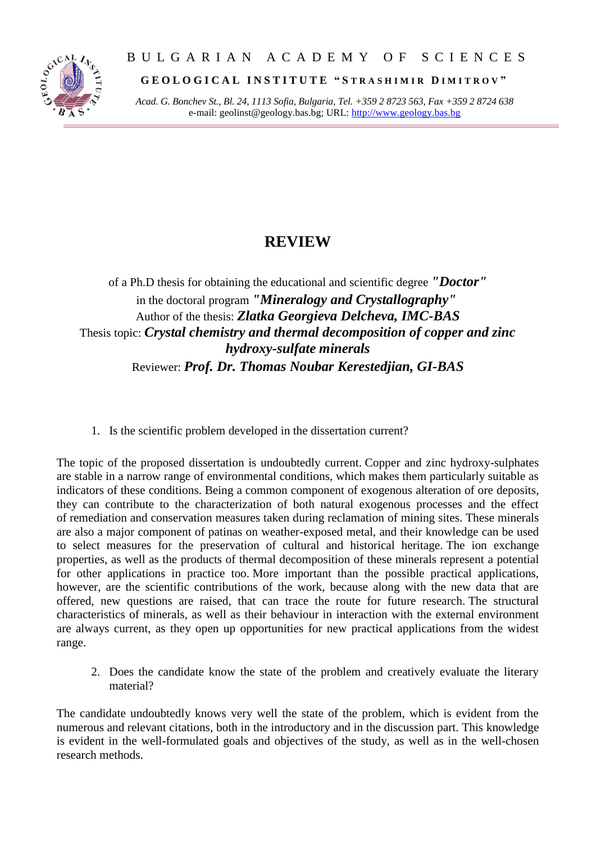

## B U L G A R I A N A C A D E M Y O F S C I E N C E S

**G E O L O G I C A L I N S T I T U T E " S T R A S H I M I R D I M I T R O V "**

*Acad. G. Bonchev St., Bl. 24, 1113 Sofia, Bulgaria, Tel. +359 2 8723 563, Fax +359 2 8724 638* e-mail: geolinst@geology.bas.bg; URL: [http://www.geology.bas.bg](http://www.geology.bas.bg/)

## **REVIEW**

of a Ph.D thesis for obtaining the educational and scientific degree *"Doctor"* in the doctoral program *"Mineralogy and Crystallography"* Author of the thesis: *Zlatka Georgieva Delcheva, IMC-BAS* Thesis topic: *Crystal chemistry and thermal decomposition of copper and zinc hydroxy-sulfate minerals* Reviewer: *Prof. Dr. Thomas Noubar Kerestedjian, GI-BAS*

1. Is the scientific problem developed in the dissertation current?

The topic of the proposed dissertation is undoubtedly current. Copper and zinc hydroxy-sulphates are stable in a narrow range of environmental conditions, which makes them particularly suitable as indicators of these conditions. Being a common component of exogenous alteration of ore deposits, they can contribute to the characterization of both natural exogenous processes and the effect of remediation and conservation measures taken during reclamation of mining sites. These minerals are also a major component of patinas on weather-exposed metal, and their knowledge can be used to select measures for the preservation of cultural and historical heritage. The ion exchange properties, as well as the products of thermal decomposition of these minerals represent a potential for other applications in practice too. More important than the possible practical applications, however, are the scientific contributions of the work, because along with the new data that are offered, new questions are raised, that can trace the route for future research. The structural characteristics of minerals, as well as their behaviour in interaction with the external environment are always current, as they open up opportunities for new practical applications from the widest range.

2. Does the candidate know the state of the problem and creatively evaluate the literary material?

The candidate undoubtedly knows very well the state of the problem, which is evident from the numerous and relevant citations, both in the introductory and in the discussion part. This knowledge is evident in the well-formulated goals and objectives of the study, as well as in the well-chosen research methods.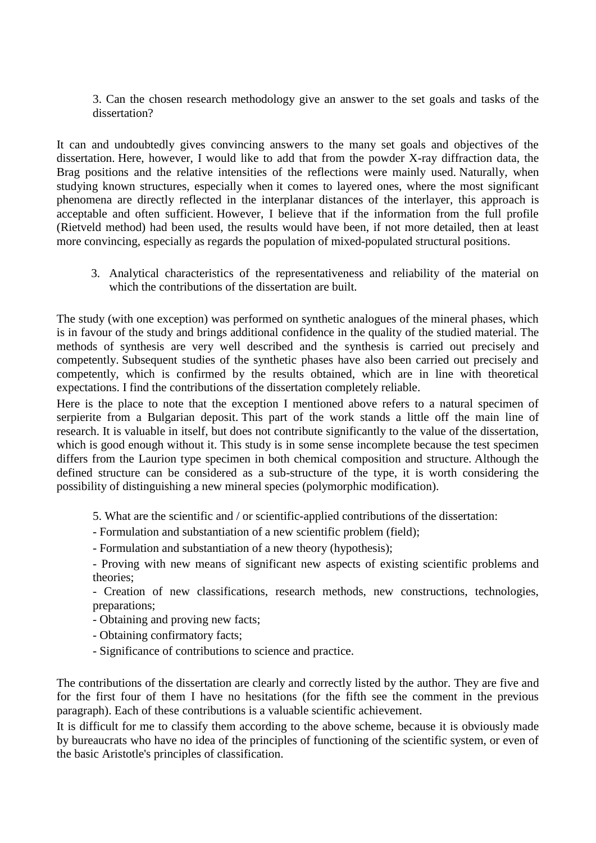3. Can the chosen research methodology give an answer to the set goals and tasks of the dissertation?

It can and undoubtedly gives convincing answers to the many set goals and objectives of the dissertation. Here, however, I would like to add that from the powder X-ray diffraction data, the Brag positions and the relative intensities of the reflections were mainly used. Naturally, when studying known structures, especially when it comes to layered ones, where the most significant phenomena are directly reflected in the interplanar distances of the interlayer, this approach is acceptable and often sufficient. However, I believe that if the information from the full profile (Rietveld method) had been used, the results would have been, if not more detailed, then at least more convincing, especially as regards the population of mixed-populated structural positions.

3. Analytical characteristics of the representativeness and reliability of the material on which the contributions of the dissertation are built.

The study (with one exception) was performed on synthetic analogues of the mineral phases, which is in favour of the study and brings additional confidence in the quality of the studied material. The methods of synthesis are very well described and the synthesis is carried out precisely and competently. Subsequent studies of the synthetic phases have also been carried out precisely and competently, which is confirmed by the results obtained, which are in line with theoretical expectations. I find the contributions of the dissertation completely reliable.

Here is the place to note that the exception I mentioned above refers to a natural specimen of serpierite from a Bulgarian deposit. This part of the work stands a little off the main line of research. It is valuable in itself, but does not contribute significantly to the value of the dissertation, which is good enough without it. This study is in some sense incomplete because the test specimen differs from the Laurion type specimen in both chemical composition and structure. Although the defined structure can be considered as a sub-structure of the type, it is worth considering the possibility of distinguishing a new mineral species (polymorphic modification).

5. What are the scientific and / or scientific-applied contributions of the dissertation:

- Formulation and substantiation of a new scientific problem (field);
- Formulation and substantiation of a new theory (hypothesis);

- Proving with new means of significant new aspects of existing scientific problems and theories;

- Creation of new classifications, research methods, new constructions, technologies, preparations;

- Obtaining and proving new facts;

- Obtaining confirmatory facts;
- Significance of contributions to science and practice.

The contributions of the dissertation are clearly and correctly listed by the author. They are five and for the first four of them I have no hesitations (for the fifth see the comment in the previous paragraph). Each of these contributions is a valuable scientific achievement.

It is difficult for me to classify them according to the above scheme, because it is obviously made by bureaucrats who have no idea of the principles of functioning of the scientific system, or even of the basic Aristotle's principles of classification.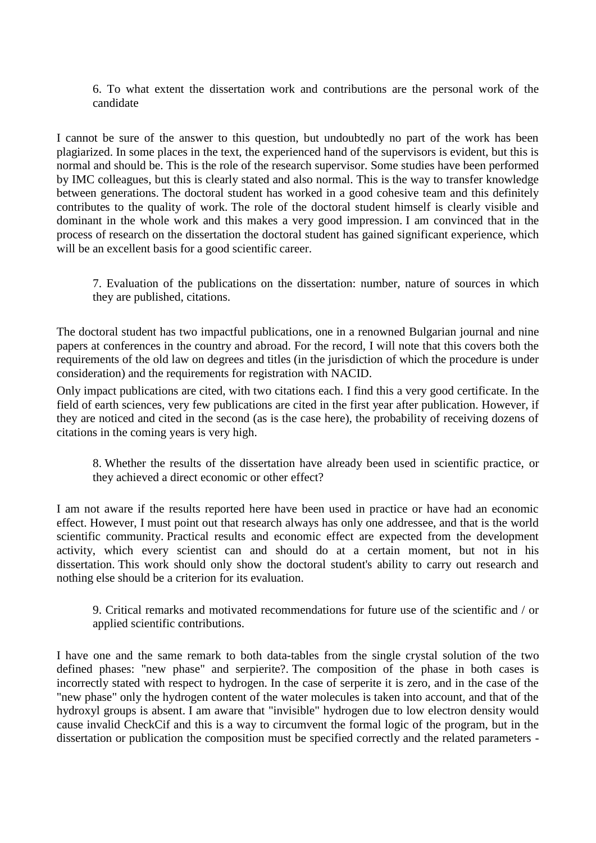6. To what extent the dissertation work and contributions are the personal work of the candidate

I cannot be sure of the answer to this question, but undoubtedly no part of the work has been plagiarized. In some places in the text, the experienced hand of the supervisors is evident, but this is normal and should be. This is the role of the research supervisor. Some studies have been performed by IMC colleagues, but this is clearly stated and also normal. This is the way to transfer knowledge between generations. The doctoral student has worked in a good cohesive team and this definitely contributes to the quality of work. The role of the doctoral student himself is clearly visible and dominant in the whole work and this makes a very good impression. I am convinced that in the process of research on the dissertation the doctoral student has gained significant experience, which will be an excellent basis for a good scientific career.

7. Evaluation of the publications on the dissertation: number, nature of sources in which they are published, citations.

The doctoral student has two impactful publications, one in a renowned Bulgarian journal and nine papers at conferences in the country and abroad. For the record, I will note that this covers both the requirements of the old law on degrees and titles (in the jurisdiction of which the procedure is under consideration) and the requirements for registration with NACID.

Only impact publications are cited, with two citations each. I find this a very good certificate. In the field of earth sciences, very few publications are cited in the first year after publication. However, if they are noticed and cited in the second (as is the case here), the probability of receiving dozens of citations in the coming years is very high.

8. Whether the results of the dissertation have already been used in scientific practice, or they achieved a direct economic or other effect?

I am not aware if the results reported here have been used in practice or have had an economic effect. However, I must point out that research always has only one addressee, and that is the world scientific community. Practical results and economic effect are expected from the development activity, which every scientist can and should do at a certain moment, but not in his dissertation. This work should only show the doctoral student's ability to carry out research and nothing else should be a criterion for its evaluation.

9. Critical remarks and motivated recommendations for future use of the scientific and / or applied scientific contributions.

I have one and the same remark to both data-tables from the single crystal solution of the two defined phases: "new phase" and serpierite?. The composition of the phase in both cases is incorrectly stated with respect to hydrogen. In the case of serperite it is zero, and in the case of the "new phase" only the hydrogen content of the water molecules is taken into account, and that of the hydroxyl groups is absent. I am aware that "invisible" hydrogen due to low electron density would cause invalid CheckCif and this is a way to circumvent the formal logic of the program, but in the dissertation or publication the composition must be specified correctly and the related parameters -